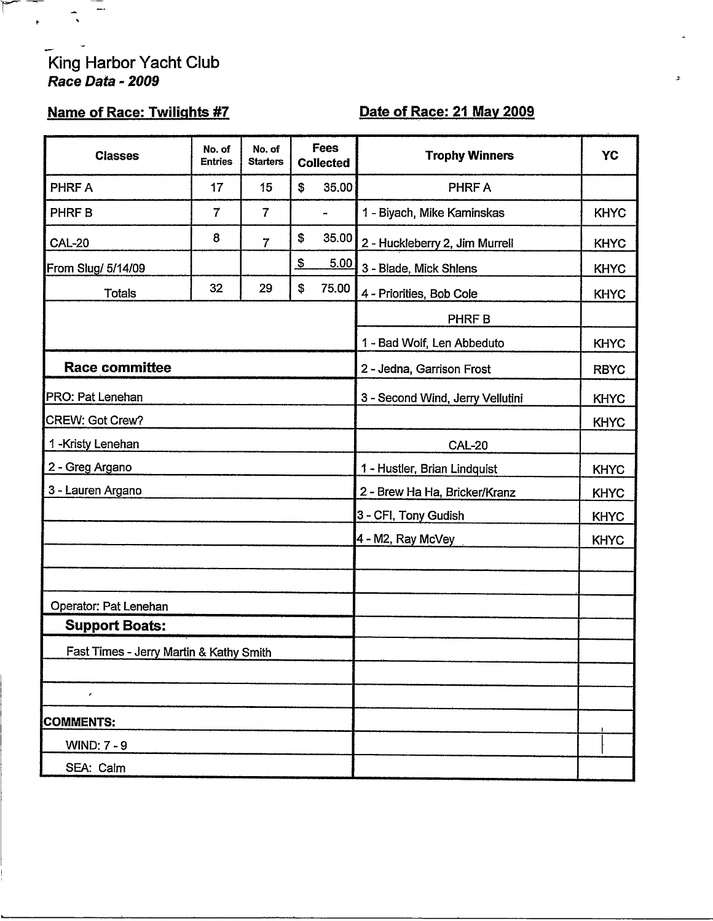# King Harbor Yacht Club<br>Race Data - 2009

 $\ddot{\cdot}$ 

## **Name of Race: Twilights #7**

## Date of Race: 21 May 2009

| <b>Classes</b>                          | No. of<br><b>Entries</b> | No. of<br><b>Starters</b> |                               | Fees<br><b>Collected</b>         | <b>Trophy Winners</b>          | <b>YC</b>   |
|-----------------------------------------|--------------------------|---------------------------|-------------------------------|----------------------------------|--------------------------------|-------------|
| PHRF A                                  | 17                       | 15                        | \$                            | 35,00                            | PHRF A                         |             |
| PHRF B                                  | $\overline{7}$           | $\overline{7}$            |                               | $\blacksquare$                   | 1 - Biyach, Mike Kaminskas     | <b>KHYC</b> |
| <b>CAL-20</b>                           | 8                        | $\overline{7}$            | \$                            | 35.00                            | 2 - Huckleberry 2, Jim Murrell | <b>KHYC</b> |
| From Slug/ 5/14/09                      |                          |                           | $\frac{3}{2}$                 | 5.00                             | 3 - Blade, Mick Shlens         | <b>KHYC</b> |
| <b>Totals</b>                           | 32                       | 29                        | \$                            | 75.00                            | 4 - Priorities, Bob Cole       | <b>KHYC</b> |
|                                         |                          |                           |                               |                                  | PHRF B                         |             |
|                                         |                          |                           |                               | 1 - Bad Wolf, Len Abbeduto       | <b>KHYC</b>                    |             |
| <b>Race committee</b>                   |                          |                           |                               | 2 - Jedna, Garrison Frost        | <b>RBYC</b>                    |             |
| PRO: Pat Lenehan                        |                          |                           |                               | 3 - Second Wind, Jerry Vellutini | <b>KHYC</b>                    |             |
| CREW: Got Crew?                         |                          |                           |                               | <b>KHYC</b>                      |                                |             |
| 1-Kristy Lenehan                        |                          |                           |                               | <b>CAL-20</b>                    |                                |             |
| 2 - Greg Argano                         |                          |                           | 1 - Hustler, Brian Lindquist  | <b>KHYC</b>                      |                                |             |
| 3 - Lauren Argano                       |                          |                           | 2 - Brew Ha Ha, Bricker/Kranz | <b>KHYC</b>                      |                                |             |
|                                         |                          |                           |                               |                                  | 3 - CFI, Tony Gudish           | <b>KHYC</b> |
|                                         |                          |                           |                               |                                  | 4 - M2, Ray McVey              | <b>KHYC</b> |
|                                         |                          |                           |                               |                                  |                                |             |
|                                         |                          |                           |                               |                                  |                                |             |
| Operator: Pat Lenehan                   |                          |                           |                               |                                  |                                |             |
| <b>Support Boats:</b>                   |                          |                           |                               |                                  |                                |             |
| Fast Times - Jerry Martin & Kathy Smith |                          |                           |                               |                                  |                                |             |
| $\overline{\phantom{a}}$                |                          |                           |                               |                                  |                                |             |
| <b>COMMENTS:</b>                        |                          |                           |                               |                                  |                                |             |
| <b>WIND: 7 - 9</b>                      |                          |                           |                               |                                  |                                |             |
| SEA: Calm                               |                          |                           |                               |                                  |                                |             |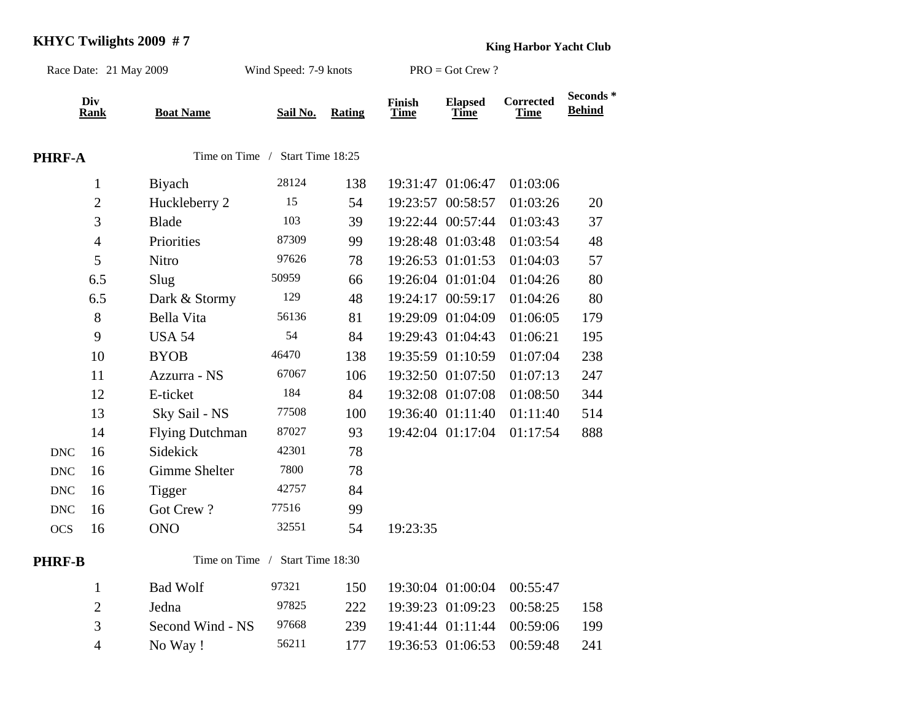#### **KHYC Twilights 2009 # 7**

**King Harbor Yacht Club**

| Race Date: 21 May 2009    |                    |                        | Wind Speed: 7-9 knots           |        | $PRO = Got$ Crew ?    |                               |                                 |                           |
|---------------------------|--------------------|------------------------|---------------------------------|--------|-----------------------|-------------------------------|---------------------------------|---------------------------|
|                           | Div<br><b>Rank</b> | <b>Boat Name</b>       | Sail No.                        | Rating | Finish<br><b>Time</b> | <b>Elapsed</b><br><b>Time</b> | <b>Corrected</b><br><b>Time</b> | Seconds*<br><b>Behind</b> |
| PHRF-A                    |                    |                        | Time on Time / Start Time 18:25 |        |                       |                               |                                 |                           |
|                           | $\mathbf{1}$       | Biyach                 | 28124                           | 138    |                       | 19:31:47 01:06:47             | 01:03:06                        |                           |
|                           | $\overline{2}$     | Huckleberry 2          | 15                              | 54     |                       | 19:23:57 00:58:57             | 01:03:26                        | 20                        |
|                           | 3                  | <b>Blade</b>           | 103                             | 39     |                       | 19:22:44 00:57:44             | 01:03:43                        | 37                        |
|                           | $\overline{4}$     | Priorities             | 87309                           | 99     |                       | 19:28:48 01:03:48             | 01:03:54                        | 48                        |
|                           | 5                  | Nitro                  | 97626                           | 78     |                       | 19:26:53 01:01:53             | 01:04:03                        | 57                        |
|                           | 6.5                | Slug                   | 50959                           | 66     |                       | 19:26:04 01:01:04             | 01:04:26                        | 80                        |
|                           | 6.5                | Dark & Stormy          | 129                             | 48     |                       | 19:24:17 00:59:17             | 01:04:26                        | 80                        |
|                           | 8                  | Bella Vita             | 56136                           | 81     |                       | 19:29:09 01:04:09             | 01:06:05                        | 179                       |
|                           | 9                  | <b>USA 54</b>          | 54                              | 84     |                       | 19:29:43 01:04:43             | 01:06:21                        | 195                       |
|                           | 10                 | <b>BYOB</b>            | 46470                           | 138    |                       | 19:35:59 01:10:59             | 01:07:04                        | 238                       |
|                           | 11                 | Azzurra - NS           | 67067                           | 106    |                       | 19:32:50 01:07:50             | 01:07:13                        | 247                       |
|                           | 12                 | E-ticket               | 184                             | 84     |                       | 19:32:08 01:07:08             | 01:08:50                        | 344                       |
|                           | 13                 | Sky Sail - NS          | 77508                           | 100    |                       | 19:36:40 01:11:40             | 01:11:40                        | 514                       |
|                           | 14                 | <b>Flying Dutchman</b> | 87027                           | 93     |                       | 19:42:04 01:17:04             | 01:17:54                        | 888                       |
| <b>DNC</b>                | 16                 | Sidekick               | 42301                           | 78     |                       |                               |                                 |                           |
| <b>DNC</b>                | 16                 | Gimme Shelter          | 7800                            | 78     |                       |                               |                                 |                           |
| $\ensuremath{\text{DNC}}$ | 16                 | Tigger                 | 42757                           | 84     |                       |                               |                                 |                           |
| $\ensuremath{\text{DNC}}$ | 16                 | Got Crew?              | 77516                           | 99     |                       |                               |                                 |                           |
| <b>OCS</b>                | 16                 | <b>ONO</b>             | 32551                           | 54     | 19:23:35              |                               |                                 |                           |
| PHRF-B                    |                    |                        | Time on Time / Start Time 18:30 |        |                       |                               |                                 |                           |
|                           | $\mathbf{1}$       | <b>Bad Wolf</b>        | 97321                           | 150    |                       | 19:30:04 01:00:04             | 00:55:47                        |                           |
|                           | $\overline{2}$     | Jedna                  | 97825                           | 222    |                       | 19:39:23 01:09:23             | 00:58:25                        | 158                       |
|                           | 3                  | Second Wind - NS       | 97668                           | 239    |                       | 19:41:44 01:11:44             | 00:59:06                        | 199                       |
|                           | $\overline{4}$     | No Way!                | 56211                           | 177    |                       | 19:36:53 01:06:53             | 00:59:48                        | 241                       |